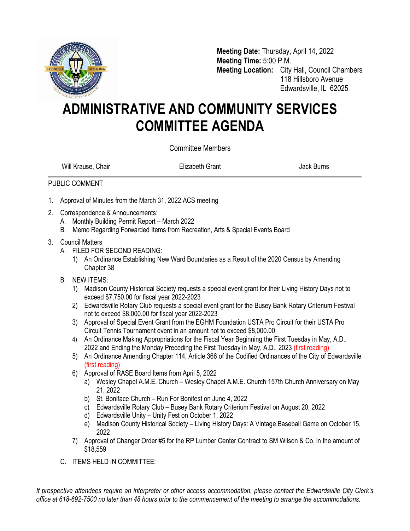

**Meeting Date:** Thursday, April 14, 2022 **Meeting Time:** 5:00 P.M. **Meeting Location:** City Hall, Council Chambers 118 Hillsboro Avenue Edwardsville, IL 62025

## **ADMINISTRATIVE AND COMMUNITY SERVICES COMMITTEE AGENDA**

Committee Members

Will Krause, Chair **Elizabeth Grant Chair Elizabeth Grant** Alexander Museum Back Burns

## PUBLIC COMMENT

- 1. Approval of Minutes from the March 31, 2022 ACS meeting
- 2. Correspondence & Announcements:
	- A. Monthly Building Permit Report March 2022
	- B. Memo Regarding Forwarded Items from Recreation, Arts & Special Events Board
- 3. Council Matters
	- A. FILED FOR SECOND READING:
		- 1) An Ordinance Establishing New Ward Boundaries as a Result of the 2020 Census by Amending Chapter 38
	- B. NEW ITEMS:
		- 1) Madison County Historical Society requests a special event grant for their Living History Days not to exceed \$7,750.00 for fiscal year 2022-2023
		- 2) Edwardsville Rotary Club requests a special event grant for the Busey Bank Rotary Criterium Festival not to exceed \$8,000.00 for fiscal year 2022-2023
		- 3) Approval of Special Event Grant from the EGHM Foundation USTA Pro Circuit for their USTA Pro Circuit Tennis Tournament event in an amount not to exceed \$8,000.00
		- 4) An Ordinance Making Appropriations for the Fiscal Year Beginning the First Tuesday in May, A.D., 2022 and Ending the Monday Preceding the First Tuesday in May, A.D., 2023 (first reading)
		- 5) An Ordinance Amending Chapter 114, Article 366 of the Codified Ordinances of the City of Edwardsville (first reading)
		- 6) Approval of RASE Board Items from April 5, 2022
			- a) Wesley Chapel A.M.E. Church Wesley Chapel A.M.E. Church 157th Church Anniversary on May 21, 2022
			- b) St. Boniface Church Run For Bonifest on June 4, 2022
			- c) Edwardsville Rotary Club Busey Bank Rotary Criterium Festival on August 20, 2022
			- d) Edwardsville Unity Unity Fest on October 1, 2022
			- e) Madison County Historical Society Living History Days: A Vintage Baseball Game on October 15, 2022
		- 7) Approval of Changer Order #5 for the RP Lumber Center Contract to SM Wilson & Co. in the amount of \$18,559
	- C. ITEMS HELD IN COMMITTEE:

*If prospective attendees require an interpreter or other access accommodation, please contact the Edwardsville City Clerk's office at 618-692-7500 no later than 48 hours prior to the commencement of the meeting to arrange the accommodations.*